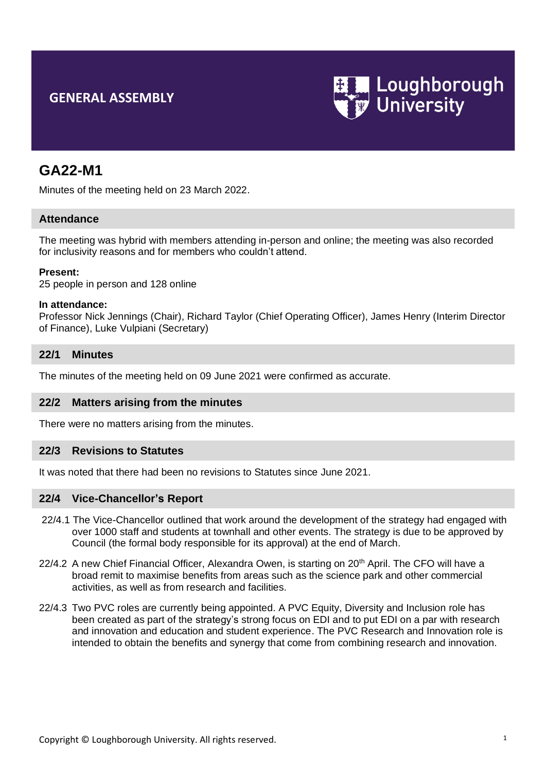# **GENERAL ASSEMBLY**



# **GA22-M1**

Minutes of the meeting held on 23 March 2022.

## **Attendance**

The meeting was hybrid with members attending in-person and online; the meeting was also recorded for inclusivity reasons and for members who couldn't attend.

### **Present:**

25 people in person and 128 online

#### **In attendance:**

Professor Nick Jennings (Chair), Richard Taylor (Chief Operating Officer), James Henry (Interim Director of Finance), Luke Vulpiani (Secretary)

### **22/1 Minutes**

The minutes of the meeting held on 09 June 2021 were confirmed as accurate.

## **22/2 Matters arising from the minutes**

There were no matters arising from the minutes.

## **22/3 Revisions to Statutes**

It was noted that there had been no revisions to Statutes since June 2021.

#### **22/4 Vice-Chancellor's Report**

- 22/4.1 The Vice-Chancellor outlined that work around the development of the strategy had engaged with over 1000 staff and students at townhall and other events. The strategy is due to be approved by Council (the formal body responsible for its approval) at the end of March.
- 22/4.2 A new Chief Financial Officer, Alexandra Owen, is starting on 20<sup>th</sup> April. The CFO will have a broad remit to maximise benefits from areas such as the science park and other commercial activities, as well as from research and facilities.
- 22/4.3 Two PVC roles are currently being appointed. A PVC Equity, Diversity and Inclusion role has been created as part of the strategy's strong focus on EDI and to put EDI on a par with research and innovation and education and student experience. The PVC Research and Innovation role is intended to obtain the benefits and synergy that come from combining research and innovation.